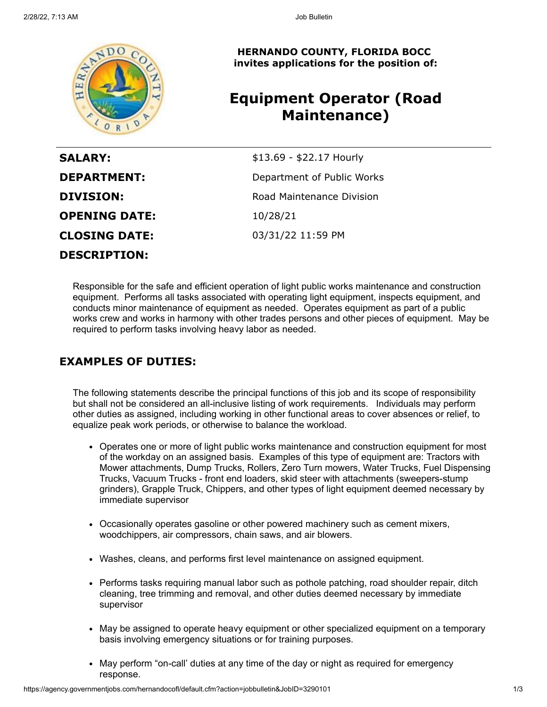

**HERNANDO COUNTY, FLORIDA BOCC invites applications for the position of:**

# **Equipment Operator (Road Maintenance)**

| <b>SALARY:</b>       | \$13.69 - \$22.17 Hourly   |
|----------------------|----------------------------|
| <b>DEPARTMENT:</b>   | Department of Public Works |
| <b>DIVISION:</b>     | Road Maintenance Division  |
| <b>OPENING DATE:</b> | 10/28/21                   |
| <b>CLOSING DATE:</b> | 03/31/22 11:59 PM          |
| <b>DESCRIPTION:</b>  |                            |

Responsible for the safe and efficient operation of light public works maintenance and construction equipment. Performs all tasks associated with operating light equipment, inspects equipment, and conducts minor maintenance of equipment as needed. Operates equipment as part of a public works crew and works in harmony with other trades persons and other pieces of equipment. May be required to perform tasks involving heavy labor as needed.

## **EXAMPLES OF DUTIES:**

The following statements describe the principal functions of this job and its scope of responsibility but shall not be considered an all-inclusive listing of work requirements. Individuals may perform other duties as assigned, including working in other functional areas to cover absences or relief, to equalize peak work periods, or otherwise to balance the workload.

- Operates one or more of light public works maintenance and construction equipment for most of the workday on an assigned basis. Examples of this type of equipment are: Tractors with Mower attachments, Dump Trucks, Rollers, Zero Turn mowers, Water Trucks, Fuel Dispensing Trucks, Vacuum Trucks - front end loaders, skid steer with attachments (sweepers-stump grinders), Grapple Truck, Chippers, and other types of light equipment deemed necessary by immediate supervisor
- Occasionally operates gasoline or other powered machinery such as cement mixers, woodchippers, air compressors, chain saws, and air blowers.
- Washes, cleans, and performs first level maintenance on assigned equipment.
- Performs tasks requiring manual labor such as pothole patching, road shoulder repair, ditch cleaning, tree trimming and removal, and other duties deemed necessary by immediate supervisor
- May be assigned to operate heavy equipment or other specialized equipment on a temporary basis involving emergency situations or for training purposes.
- May perform "on-call' duties at any time of the day or night as required for emergency response.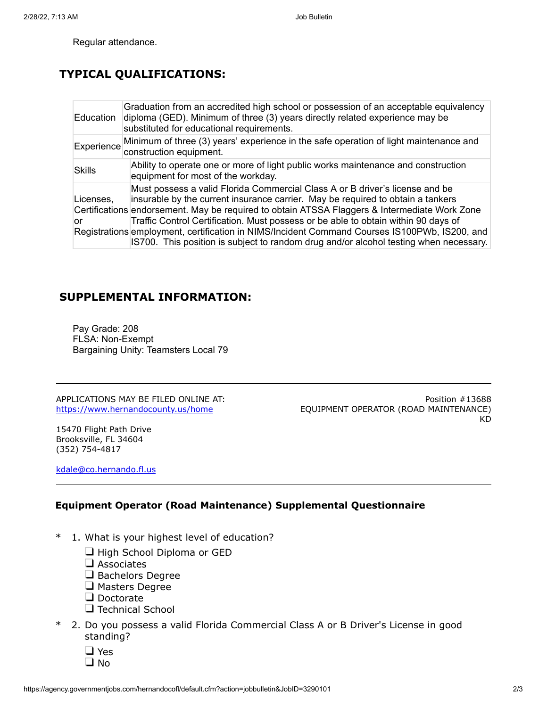Regular attendance.

# **TYPICAL QUALIFICATIONS:**

| Education       | Graduation from an accredited high school or possession of an acceptable equivalency<br>diploma (GED). Minimum of three (3) years directly related experience may be<br>substituted for educational requirements.                                                                                                                                                                                                                                                                                                                                |
|-----------------|--------------------------------------------------------------------------------------------------------------------------------------------------------------------------------------------------------------------------------------------------------------------------------------------------------------------------------------------------------------------------------------------------------------------------------------------------------------------------------------------------------------------------------------------------|
| Experience      | Minimum of three (3) years' experience in the safe operation of light maintenance and<br>construction equipment.                                                                                                                                                                                                                                                                                                                                                                                                                                 |
| <b>Skills</b>   | Ability to operate one or more of light public works maintenance and construction<br>equipment for most of the workday.                                                                                                                                                                                                                                                                                                                                                                                                                          |
| Licenses,<br>or | Must possess a valid Florida Commercial Class A or B driver's license and be<br>insurable by the current insurance carrier. May be required to obtain a tankers<br>Certifications endorsement. May be required to obtain ATSSA Flaggers & Intermediate Work Zone<br>Traffic Control Certification. Must possess or be able to obtain within 90 days of<br>Registrations employment, certification in NIMS/Incident Command Courses IS100PWb, IS200, and<br>IS700. This position is subject to random drug and/or alcohol testing when necessary. |

## **SUPPLEMENTAL INFORMATION:**

Pay Grade: 208 FLSA: Non-Exempt Bargaining Unity: Teamsters Local 79

APPLICATIONS MAY BE FILED ONLINE AT: <https://www.hernandocounty.us/home>

Position #13688 EQUIPMENT OPERATOR (ROAD MAINTENANCE) KD

15470 Flight Path Drive Brooksville, FL 34604 (352) 754-4817

[kdale@co.hernando.fl.us](mailto:kdale@co.hernando.fl.us)

#### **Equipment Operator (Road Maintenance) Supplemental Questionnaire**

- \* 1. What is your highest level of education?
	- High School Diploma or GED
	- $\square$  Associates
	- Bachelors Degree
	- **O** Masters Degree
	- Doctorate
	- **Technical School**
- \* 2. Do you possess a valid Florida Commercial Class A or B Driver's License in good standing?
	- □ Yes
	- $\square$  No